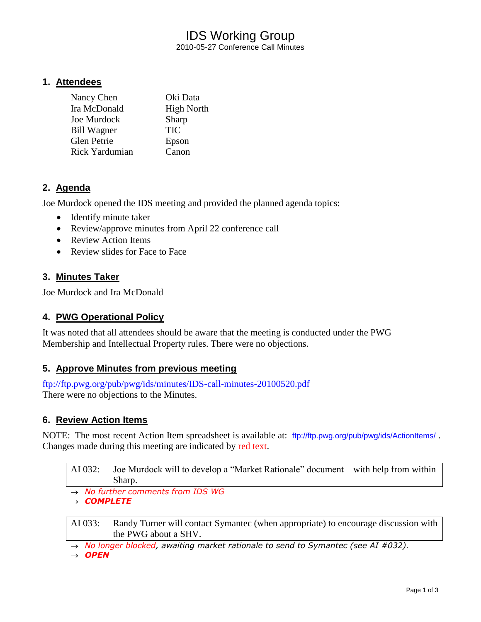# IDS Working Group 2010-05-27 Conference Call Minutes

## **1. Attendees**

| Nancy Chen            | Oki Data          |
|-----------------------|-------------------|
| Ira McDonald          | <b>High North</b> |
| Joe Murdock           | Sharp             |
| <b>Bill Wagner</b>    | TIC               |
| <b>Glen Petrie</b>    | Epson             |
| <b>Rick Yardumian</b> | Canon             |

# **2. Agenda**

Joe Murdock opened the IDS meeting and provided the planned agenda topics:

- Identify minute taker
- Review/approve minutes from April 22 conference call
- Review Action Items
- Review slides for Face to Face

# **3. Minutes Taker**

Joe Murdock and Ira McDonald

# **4. PWG Operational Policy**

It was noted that all attendees should be aware that the meeting is conducted under the PWG Membership and Intellectual Property rules. There were no objections.

# **5. Approve Minutes from previous meeting**

<ftp://ftp.pwg.org/pub/pwg/ids/minutes/IDS-call-minutes-20100520.pdf> There were no objections to the Minutes.

### **6. Review Action Items**

NOTE: The most recent Action Item spreadsheet is available at: <ftp://ftp.pwg.org/pub/pwg/ids/ActionItems/>. Changes made during this meeting are indicated by red text.

| AI 032: Joe Murdock will to develop a "Market Rationale" document – with help from within |
|-------------------------------------------------------------------------------------------|
| Sharp.                                                                                    |

*No further comments from IDS WG*

*COMPLETE*

AI 033: Randy Turner will contact Symantec (when appropriate) to encourage discussion with the PWG about a SHV.

*No longer blocked, awaiting market rationale to send to Symantec (see AI #032).*

→ OPEN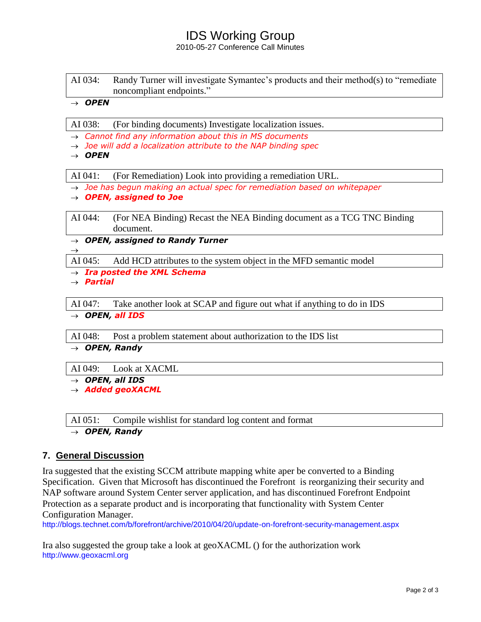# IDS Working Group

2010-05-27 Conference Call Minutes

AI 034: Randy Turner will investigate Symantec's products and their method(s) to "remediate noncompliant endpoints."

#### $\rightarrow$  OPEN

AI 038: (For binding documents) Investigate localization issues.

- *Cannot find any information about this in MS documents*
- *Joe will add a localization attribute to the NAP binding spec*
- $\rightarrow$  OPEN

AI 041: (For Remediation) Look into providing a remediation URL.

- *Joe has begun making an actual spec for remediation based on whitepaper*
- *OPEN, assigned to Joe*

AI 044: (For NEA Binding) Recast the NEA Binding document as a TCG TNC Binding document.

*OPEN, assigned to Randy Turner*

AI 045: Add HCD attributes to the system object in the MFD semantic model

*Ira posted the XML Schema*

*Partial*

 $\rightarrow$ 

AI 047: Take another look at SCAP and figure out what if anything to do in IDS

→ OPEN, all IDS

AI 048: Post a problem statement about authorization to the IDS list

*OPEN, Randy*

AI 049: Look at XACML

 $\rightarrow$  OPEN, all IDS

*Added geoXACML*

AI 051: Compile wishlist for standard log content and format *OPEN, Randy*

# **7. General Discussion**

Ira suggested that the existing SCCM attribute mapping white aper be converted to a Binding Specification. Given that Microsoft has discontinued the Forefront is reorganizing their security and NAP software around System Center server application, and has discontinued Forefront Endpoint Protection as a separate product and is incorporating that functionality with System Center Configuration Manager.

<http://blogs.technet.com/b/forefront/archive/2010/04/20/update-on-forefront-security-management.aspx>

Ira also suggested the group take a look at geoXACML () for the authorization work [http://www.geoxacml.org](http://www.geoxacml.org/)